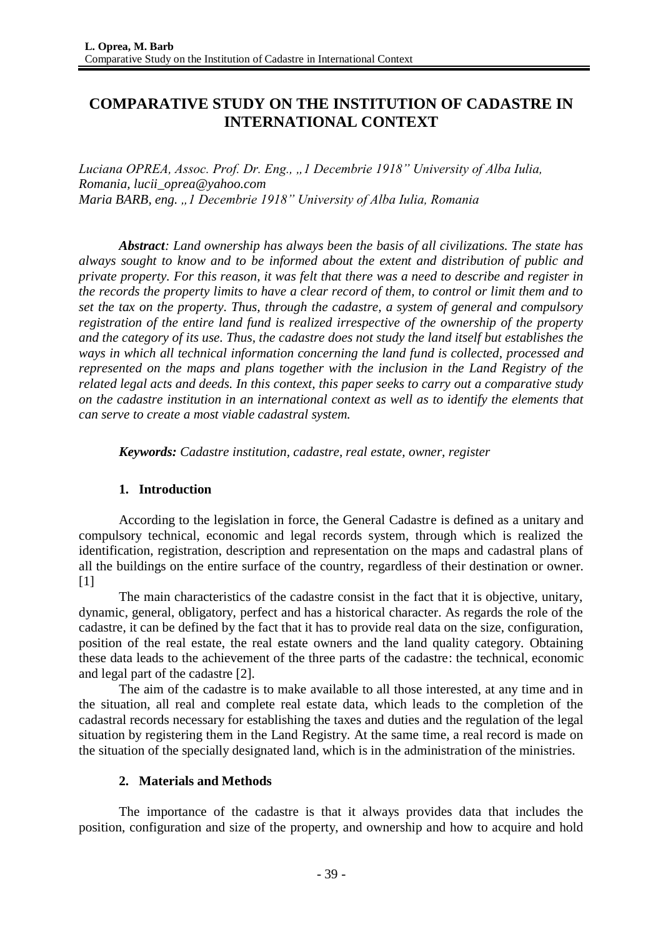# **COMPARATIVE STUDY ON THE INSTITUTION OF CADASTRE IN INTERNATIONAL CONTEXT**

*Luciana OPREA, Assoc. Prof. Dr. Eng., "1 Decembrie 1918" University of Alba Iulia, Romania, [lucii\\_oprea@yahoo.com](mailto:lucii_oprea@yahoo.com) Maria BARB, eng. "1 Decembrie 1918" University of Alba Iulia, Romania*

*Abstract: Land ownership has always been the basis of all civilizations. The state has always sought to know and to be informed about the extent and distribution of public and private property. For this reason, it was felt that there was a need to describe and register in the records the property limits to have a clear record of them, to control or limit them and to set the tax on the property. Thus, through the cadastre, a system of general and compulsory registration of the entire land fund is realized irrespective of the ownership of the property and the category of its use. Thus, the cadastre does not study the land itself but establishes the ways in which all technical information concerning the land fund is collected, processed and represented on the maps and plans together with the inclusion in the Land Registry of the related legal acts and deeds. In this context, this paper seeks to carry out a comparative study on the cadastre institution in an international context as well as to identify the elements that can serve to create a most viable cadastral system.*

*Keywords: Cadastre institution, cadastre, real estate, owner, register*

# **1. Introduction**

According to the legislation in force, the General Cadastre is defined as a unitary and compulsory technical, economic and legal records system, through which is realized the identification, registration, description and representation on the maps and cadastral plans of all the buildings on the entire surface of the country, regardless of their destination or owner.  $[1]$ 

The main characteristics of the cadastre consist in the fact that it is objective, unitary, dynamic, general, obligatory, perfect and has a historical character. As regards the role of the cadastre, it can be defined by the fact that it has to provide real data on the size, configuration, position of the real estate, the real estate owners and the land quality category. Obtaining these data leads to the achievement of the three parts of the cadastre: the technical, economic and legal part of the cadastre [2].

The aim of the cadastre is to make available to all those interested, at any time and in the situation, all real and complete real estate data, which leads to the completion of the cadastral records necessary for establishing the taxes and duties and the regulation of the legal situation by registering them in the Land Registry. At the same time, a real record is made on the situation of the specially designated land, which is in the administration of the ministries.

# **2. Materials and Methods**

The importance of the cadastre is that it always provides data that includes the position, configuration and size of the property, and ownership and how to acquire and hold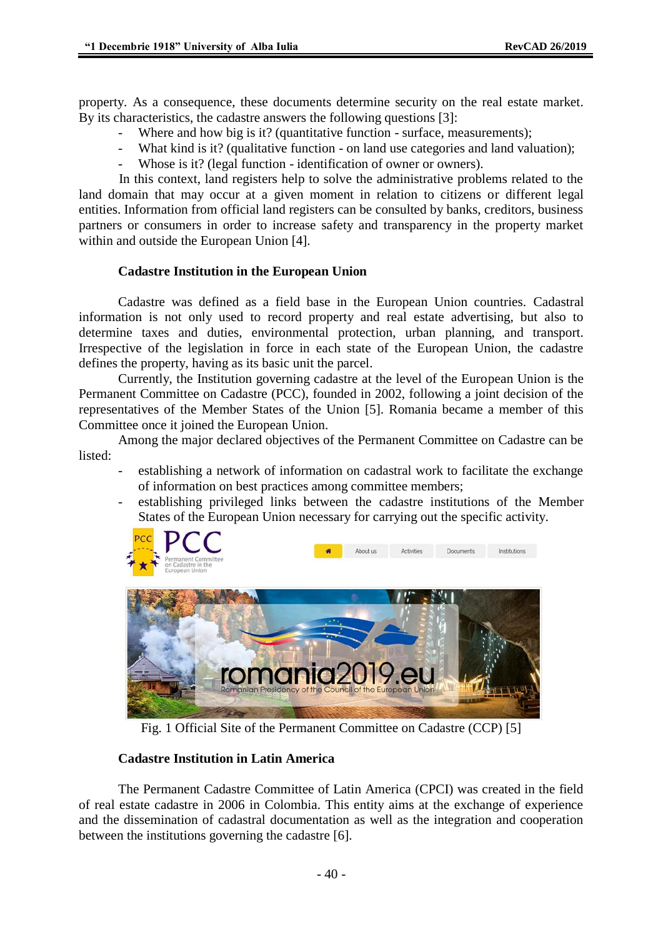property. As a consequence, these documents determine security on the real estate market. By its characteristics, the cadastre answers the following questions [3]:

- Where and how big is it? (quantitative function surface, measurements);
- What kind is it? (qualitative function on land use categories and land valuation);
- Whose is it? (legal function identification of owner or owners).

In this context, land registers help to solve the administrative problems related to the land domain that may occur at a given moment in relation to citizens or different legal entities. Information from official land registers can be consulted by banks, creditors, business partners or consumers in order to increase safety and transparency in the property market within and outside the European Union [4].

### **Cadastre Institution in the European Union**

Cadastre was defined as a field base in the European Union countries. Cadastral information is not only used to record property and real estate advertising, but also to determine taxes and duties, environmental protection, urban planning, and transport. Irrespective of the legislation in force in each state of the European Union, the cadastre defines the property, having as its basic unit the parcel.

Currently, the Institution governing cadastre at the level of the European Union is the Permanent Committee on Cadastre (PCC), founded in 2002, following a joint decision of the representatives of the Member States of the Union [5]. Romania became a member of this Committee once it joined the European Union.

Among the major declared objectives of the Permanent Committee on Cadastre can be listed:

- establishing a network of information on cadastral work to facilitate the exchange of information on best practices among committee members;
- establishing privileged links between the cadastre institutions of the Member States of the European Union necessary for carrying out the specific activity.

**Activities** 

Documents

Institutions



Fig. 1 Official Site of the Permanent Committee on Cadastre (CCP) [5]

# **Cadastre Institution in Latin America**

The Permanent Cadastre Committee of Latin America (CPCI) was created in the field of real estate cadastre in 2006 in Colombia. This entity aims at the exchange of experience and the dissemination of cadastral documentation as well as the integration and cooperation between the institutions governing the cadastre [6].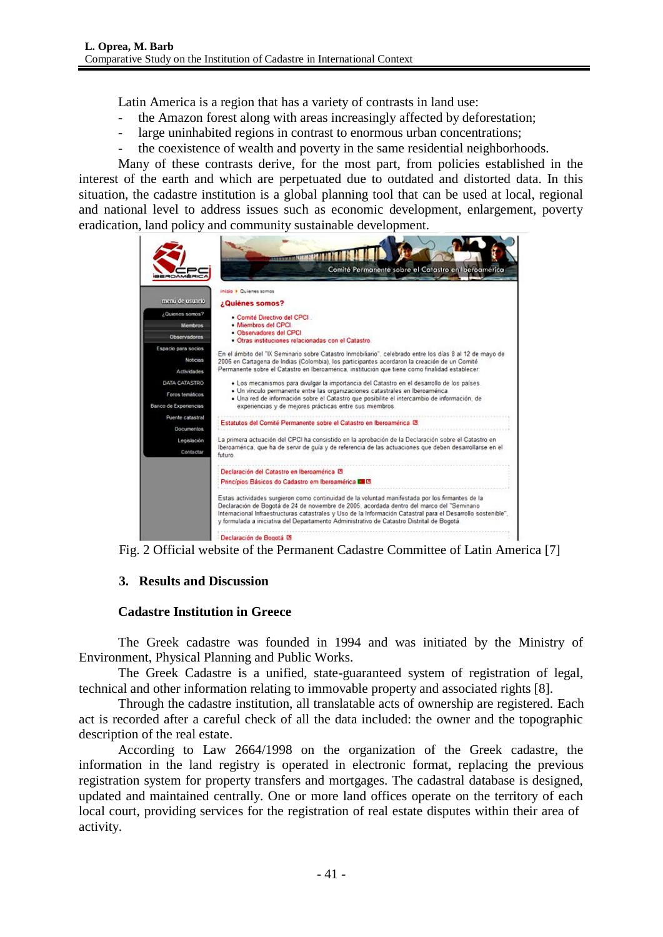Latin America is a region that has a variety of contrasts in land use:

- the Amazon forest along with areas increasingly affected by deforestation;
- large uninhabited regions in contrast to enormous urban concentrations;
- the coexistence of wealth and poverty in the same residential neighborhoods.

Many of these contrasts derive, for the most part, from policies established in the interest of the earth and which are perpetuated due to outdated and distorted data. In this situation, the cadastre institution is a global planning tool that can be used at local, regional and national level to address issues such as economic development, enlargement, poverty eradication, land policy and community sustainable development.

|                                                           | Comité Permanente sobre el Catastro en Iberoamérica                                                                                                                                                                                                                                                                                                                                                        |
|-----------------------------------------------------------|------------------------------------------------------------------------------------------------------------------------------------------------------------------------------------------------------------------------------------------------------------------------------------------------------------------------------------------------------------------------------------------------------------|
|                                                           | inicio > Quienes somos                                                                                                                                                                                                                                                                                                                                                                                     |
| menú de usuario                                           | ¿Quiénes somos?                                                                                                                                                                                                                                                                                                                                                                                            |
| ¿Quienes somos?<br><b>Miembros</b><br>Observadores        | · Comité Directivo del CPCI<br>· Miembros del CPCI.<br>· Observadores del CPCI<br>· Otras instituciones relacionadas con el Catastro.                                                                                                                                                                                                                                                                      |
| Espacio para socios                                       |                                                                                                                                                                                                                                                                                                                                                                                                            |
| Noticiave<br>Actividades                                  | En el ámbito del "IX Seminario sobre Catastro Inmobiliario", celebrado entre los días 8 al 12 de mayo de<br>2006 en Cartagena de Indias (Colombia), los participantes acordaron la creación de un Comité<br>Permanente sobre el Catastro en Iberoamérica, institución que tiene como finalidad establecer:                                                                                                 |
| DATA CATASTRO<br>Foros temáticos<br>Banco de Experiencias | · Los mecanismos para divulgar la importancia del Catastro en el desarrollo de los países.<br>· Un vinculo permanente entre las organizaciones catastrales en Iberoamérica.<br>· Una red de información sobre el Catastro que posibilite el intercambio de información, de<br>experiencias y de mejores prácticas entre sus miembros.                                                                      |
| Puente catastral<br>Documentos.                           | Estatutos del Comité Permanente sobre el Catastro en Iberoamérica IB                                                                                                                                                                                                                                                                                                                                       |
| Legislación                                               | La primera actuación del CPCI ha consistido en la aprobación de la Declaración sobre el Catastro en                                                                                                                                                                                                                                                                                                        |
| Contactar.                                                | Iberoamérica, que ha de servir de quía y de referencia de las actuaciones que deben desarrollarse en el<br>futuro.                                                                                                                                                                                                                                                                                         |
|                                                           | Declaración del Catastro en Iberoamérica E                                                                                                                                                                                                                                                                                                                                                                 |
|                                                           | Princípios Básicos do Cadastro em Iberoamérica DE C.                                                                                                                                                                                                                                                                                                                                                       |
|                                                           | Estas actividades surgieron como continuidad de la voluntad manifestada por los firmantes de la<br>Declaración de Bogotá de 24 de noviembre de 2005, acordada dentro del marco del "Seminario<br>Internacional Infraestructuras catastrales y Uso de la Información Catastral para el Desarrollo sostenible".<br>y formulada a iniciativa del Departamento Administrativo de Catastro Distrital de Bogotá. |
|                                                           | Declaración de Bogotá DS                                                                                                                                                                                                                                                                                                                                                                                   |

Fig. 2 Official website of the Permanent Cadastre Committee of Latin America [7]

# **3. Results and Discussion**

### **Cadastre Institution in Greece**

The Greek cadastre was founded in 1994 and was initiated by the Ministry of Environment, Physical Planning and Public Works.

The Greek Cadastre is a unified, state-guaranteed system of registration of legal, technical and other information relating to immovable property and associated rights [8].

Through the cadastre institution, all translatable acts of ownership are registered. Each act is recorded after a careful check of all the data included: the owner and the topographic description of the real estate.

According to Law 2664/1998 on the organization of the Greek cadastre, the information in the land registry is operated in electronic format, replacing the previous registration system for property transfers and mortgages. The cadastral database is designed, updated and maintained centrally. One or more land offices operate on the territory of each local court, providing services for the registration of real estate disputes within their area of activity.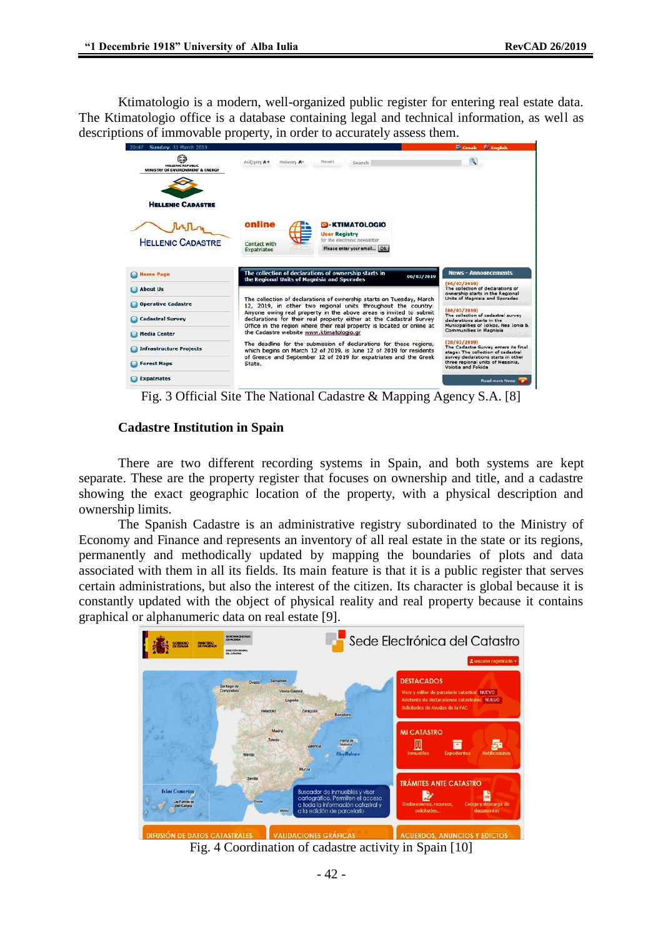Ktimatologio is a modern, well-organized public register for entering real estate data. The Ktimatologio office is a database containing legal and technical information, as well as descriptions of immovable property, in order to accurately assess them.



Fig. 3 Official Site The National Cadastre & Mapping Agency S.A. [8]

#### **Cadastre Institution in Spain**

There are two different recording systems in Spain, and both systems are kept separate. These are the property register that focuses on ownership and title, and a cadastre showing the exact geographic location of the property, with a physical description and ownership limits.

The Spanish Cadastre is an administrative registry subordinated to the Ministry of Economy and Finance and represents an inventory of all real estate in the state or its regions, permanently and methodically updated by mapping the boundaries of plots and data associated with them in all its fields. Its main feature is that it is a public register that serves certain administrations, but also the interest of the citizen. Its character is global because it is constantly updated with the object of physical reality and real property because it contains graphical or alphanumeric data on real estate [9].



Fig. 4 Coordination of cadastre activity in Spain [10]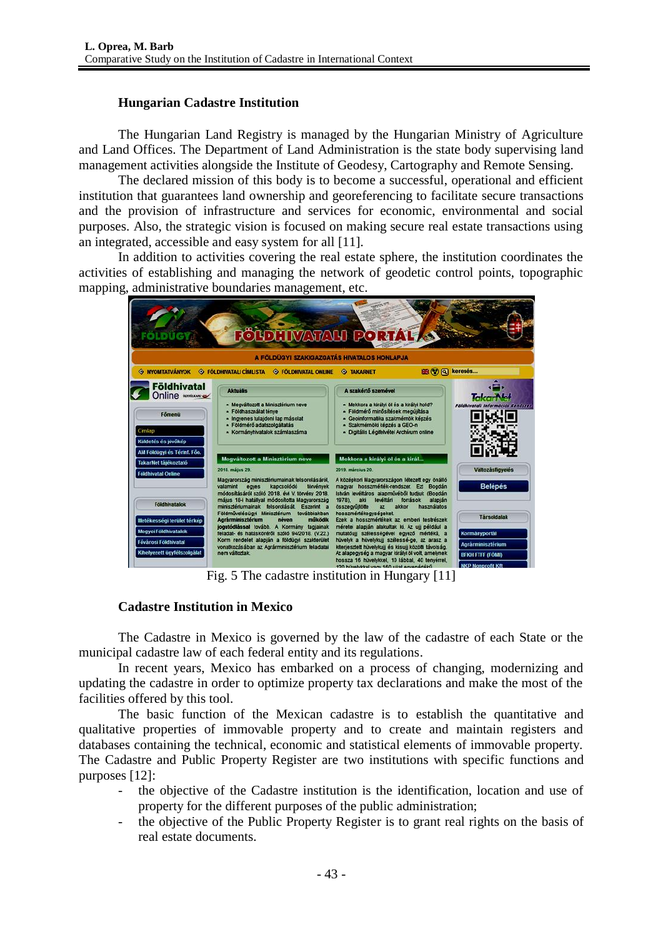### **Hungarian Cadastre Institution**

The Hungarian Land Registry is managed by the Hungarian Ministry of Agriculture and Land Offices. The Department of Land Administration is the state body supervising land management activities alongside the Institute of Geodesy, Cartography and Remote Sensing.

The declared mission of this body is to become a successful, operational and efficient institution that guarantees land ownership and georeferencing to facilitate secure transactions and the provision of infrastructure and services for economic, environmental and social purposes. Also, the strategic vision is focused on making secure real estate transactions using an integrated, accessible and easy system for all [11].

In addition to activities covering the real estate sphere, the institution coordinates the activities of establishing and managing the network of geodetic control points, topographic mapping, administrative boundaries management, etc.



# **Cadastre Institution in Mexico**

The Cadastre in Mexico is governed by the law of the cadastre of each State or the municipal cadastre law of each federal entity and its regulations.

In recent years, Mexico has embarked on a process of changing, modernizing and updating the cadastre in order to optimize property tax declarations and make the most of the facilities offered by this tool.

The basic function of the Mexican cadastre is to establish the quantitative and qualitative properties of immovable property and to create and maintain registers and databases containing the technical, economic and statistical elements of immovable property. The Cadastre and Public Property Register are two institutions with specific functions and purposes [12]:

- the objective of the Cadastre institution is the identification, location and use of property for the different purposes of the public administration;
- the objective of the Public Property Register is to grant real rights on the basis of real estate documents.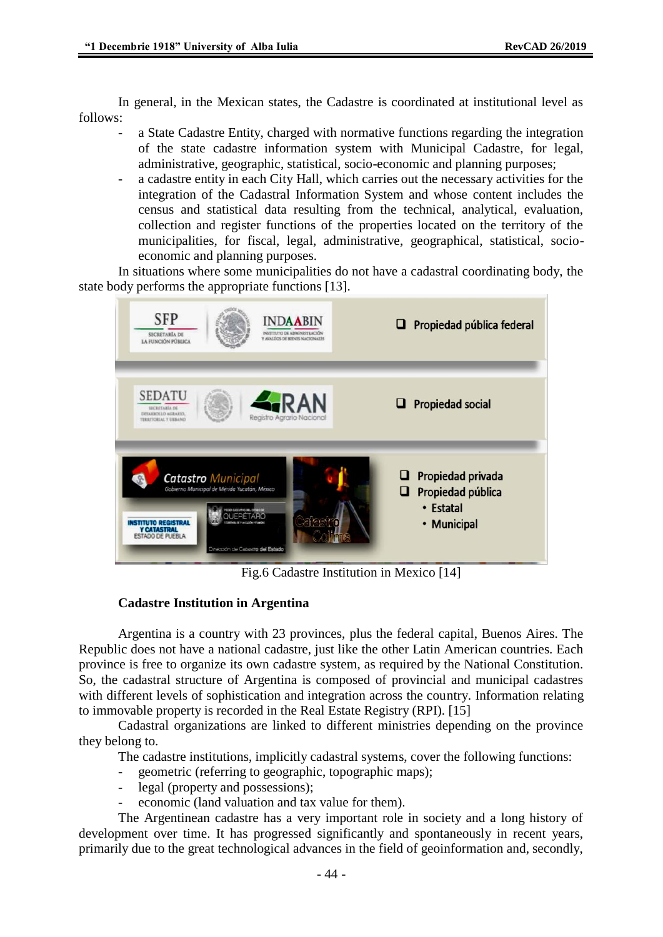In general, in the Mexican states, the Cadastre is coordinated at institutional level as follows:

- a State Cadastre Entity, charged with normative functions regarding the integration of the state cadastre information system with Municipal Cadastre, for legal, administrative, geographic, statistical, socio-economic and planning purposes;
- a cadastre entity in each City Hall, which carries out the necessary activities for the integration of the Cadastral Information System and whose content includes the census and statistical data resulting from the technical, analytical, evaluation, collection and register functions of the properties located on the territory of the municipalities, for fiscal, legal, administrative, geographical, statistical, socioeconomic and planning purposes.

In situations where some municipalities do not have a cadastral coordinating body, the state body performs the appropriate functions [13].



Fig.6 Cadastre Institution in Mexico [14]

# **Cadastre Institution in Argentina**

Argentina is a country with 23 provinces, plus the federal capital, Buenos Aires. The Republic does not have a national cadastre, just like the other Latin American countries. Each province is free to organize its own cadastre system, as required by the National Constitution. So, the cadastral structure of Argentina is composed of provincial and municipal cadastres with different levels of sophistication and integration across the country. Information relating to immovable property is recorded in the Real Estate Registry (RPI). [15]

Cadastral organizations are linked to different ministries depending on the province they belong to.

The cadastre institutions, implicitly cadastral systems, cover the following functions:

- geometric (referring to geographic, topographic maps);
- legal (property and possessions);
- economic (land valuation and tax value for them).

The Argentinean cadastre has a very important role in society and a long history of development over time. It has progressed significantly and spontaneously in recent years, primarily due to the great technological advances in the field of geoinformation and, secondly,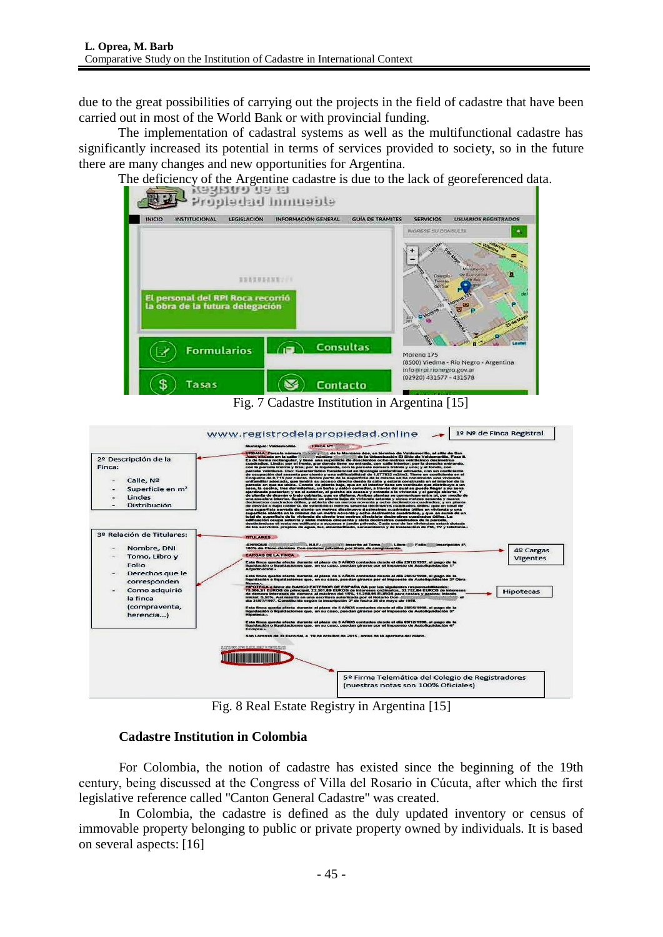due to the great possibilities of carrying out the projects in the field of cadastre that have been carried out in most of the World Bank or with provincial funding.

The implementation of cadastral systems as well as the multifunctional cadastre has significantly increased its potential in terms of services provided to society, so in the future there are many changes and new opportunities for Argentina.





Fig. 8 Real Estate Registry in Argentina [15]

# **Cadastre Institution in Colombia**

For Colombia, the notion of cadastre has existed since the beginning of the 19th century, being discussed at the Congress of Villa del Rosario in Cúcuta, after which the first legislative reference called "Canton General Cadastre" was created.

In Colombia, the cadastre is defined as the duly updated inventory or census of immovable property belonging to public or private property owned by individuals. It is based on several aspects: [16]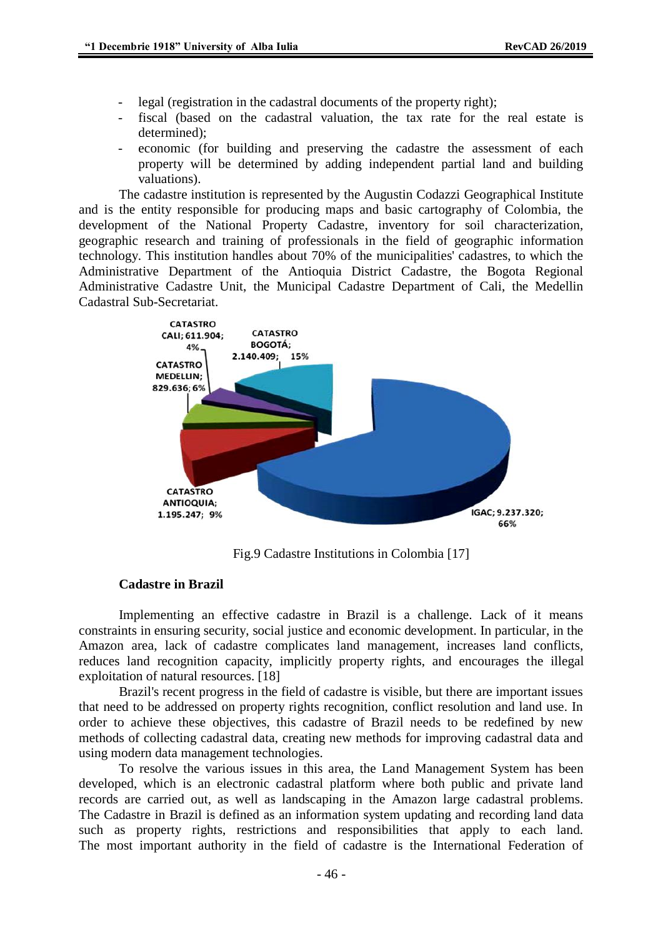- legal (registration in the cadastral documents of the property right);
- fiscal (based on the cadastral valuation, the tax rate for the real estate is determined);
- economic (for building and preserving the cadastre the assessment of each property will be determined by adding independent partial land and building valuations).

The cadastre institution is represented by the Augustin Codazzi Geographical Institute and is the entity responsible for producing maps and basic cartography of Colombia, the development of the National Property Cadastre, inventory for soil characterization, geographic research and training of professionals in the field of geographic information technology. This institution handles about 70% of the municipalities' cadastres, to which the Administrative Department of the Antioquia District Cadastre, the Bogota Regional Administrative Cadastre Unit, the Municipal Cadastre Department of Cali, the Medellin Cadastral Sub-Secretariat.



Fig.9 Cadastre Institutions in Colombia [17]

### **Cadastre in Brazil**

Implementing an effective cadastre in Brazil is a challenge. Lack of it means constraints in ensuring security, social justice and economic development. In particular, in the Amazon area, lack of cadastre complicates land management, increases land conflicts, reduces land recognition capacity, implicitly property rights, and encourages the illegal exploitation of natural resources. [18]

Brazil's recent progress in the field of cadastre is visible, but there are important issues that need to be addressed on property rights recognition, conflict resolution and land use. In order to achieve these objectives, this cadastre of Brazil needs to be redefined by new methods of collecting cadastral data, creating new methods for improving cadastral data and using modern data management technologies.

To resolve the various issues in this area, the Land Management System has been developed, which is an electronic cadastral platform where both public and private land records are carried out, as well as landscaping in the Amazon large cadastral problems. The Cadastre in Brazil is defined as an information system updating and recording land data such as property rights, restrictions and responsibilities that apply to each land. The most important authority in the field of cadastre is the International Federation of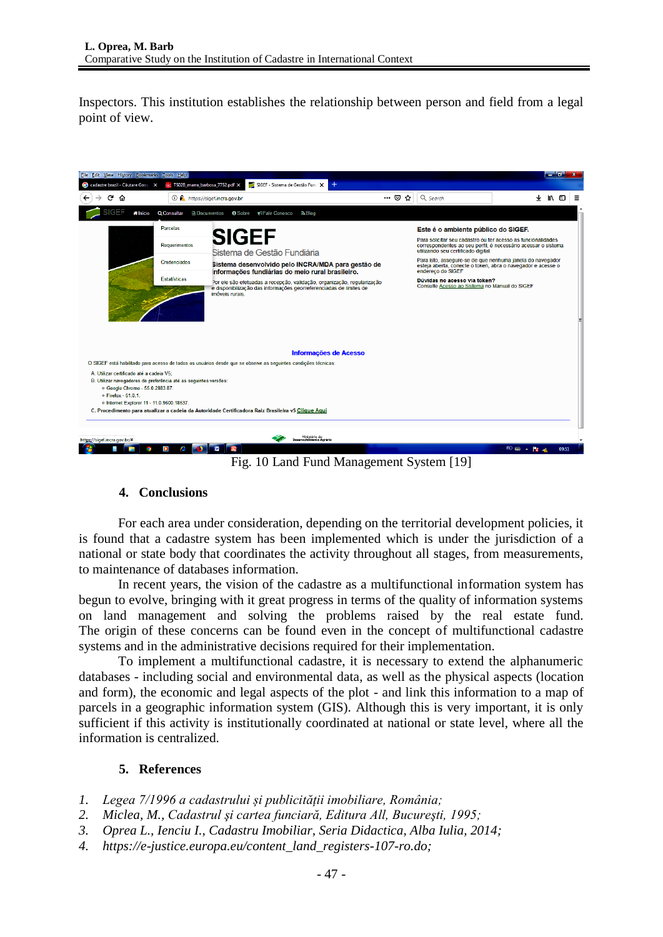Inspectors. This institution establishes the relationship between person and field from a legal point of view.



Fig. 10 Land Fund Management System [19]

### **4. Conclusions**

For each area under consideration, depending on the territorial development policies, it is found that a cadastre system has been implemented which is under the jurisdiction of a national or state body that coordinates the activity throughout all stages, from measurements, to maintenance of databases information.

In recent years, the vision of the cadastre as a multifunctional information system has begun to evolve, bringing with it great progress in terms of the quality of information systems on land management and solving the problems raised by the real estate fund. The origin of these concerns can be found even in the concept of multifunctional cadastre systems and in the administrative decisions required for their implementation.

To implement a multifunctional cadastre, it is necessary to extend the alphanumeric databases - including social and environmental data, as well as the physical aspects (location and form), the economic and legal aspects of the plot - and link this information to a map of parcels in a geographic information system (GIS). Although this is very important, it is only sufficient if this activity is institutionally coordinated at national or state level, where all the information is centralized.

# **5. References**

- *1. Legea 7/1996 a cadastrului și publicității imobiliare, România;*
- *2. Miclea, M., Cadastrul şi cartea funciară, Editura All, Bucureşti, 1995;*
- *3. Oprea L., Ienciu I., Cadastru Imobiliar, Seria Didactica, Alba Iulia, 2014;*
- *4. https://e-justice.europa.eu/content\_land\_registers-107-ro.do;*